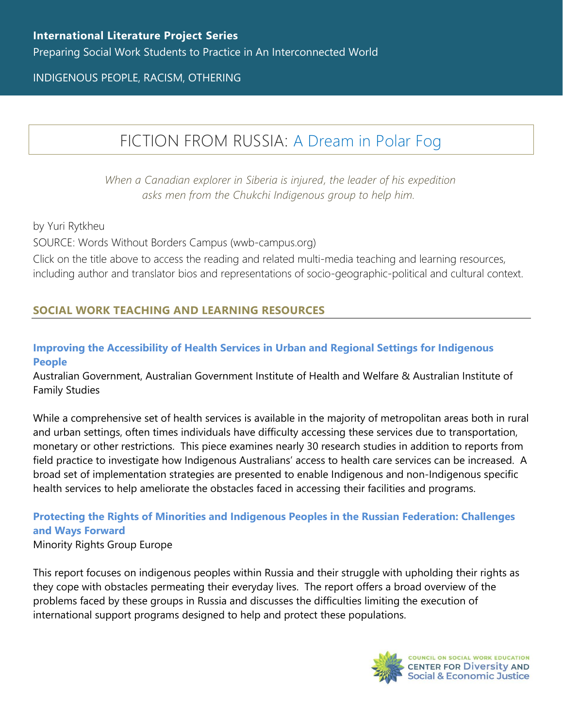# INDIGENOUS PEOPLE, RACISM, OTHERING

# FICTION FROM RUSSIA: [A Dream in Polar](https://www.wwb-campus.org/literature/a-dream-in-polar-fog) Fog

*When a Canadian explorer in Siberia is injured, the leader of his expedition asks men from the Chukchi Indigenous group to help him.*

by Yuri Rytkheu

SOURCE: Words Without Borders Campus (wwb-campus.org)

Click on the title above to access the reading and related multi-media teaching and learning resources, including author and translator bios and representations of socio-geographic-political and cultural context.

# **SOCIAL WORK TEACHING AND LEARNING RESOURCES**

#### **[Improving the Accessibility of Health Services in Urban and Regional Settings for Indigenous](https://www.aihw.gov.au/getmedia/186eb114-8fc8-45cc-acef-30f6d05a9c0c/ctgc-rs27.pdf.aspx?inline=true)  [People](https://www.aihw.gov.au/getmedia/186eb114-8fc8-45cc-acef-30f6d05a9c0c/ctgc-rs27.pdf.aspx?inline=true)**

Australian Government, Australian Government Institute of Health and Welfare & Australian Institute of Family Studies

While a comprehensive set of health services is available in the majority of metropolitan areas both in rural and urban settings, often times individuals have difficulty accessing these services due to transportation, monetary or other restrictions. This piece examines nearly 30 research studies in addition to reports from field practice to investigate how Indigenous Australians' access to health care services can be increased. A broad set of implementation strategies are presented to enable Indigenous and non-Indigenous specific health services to help ameliorate the obstacles faced in accessing their facilities and programs.

# **[Protecting the Rights of Minorities and Indigenous Peoples in the Russian Federation: Challenges](https://minorityrights.org/wp-content/uploads/2014/11/mrg-protecting-rights-minorities-indigenous-peoples-russian-federation_English.pdf)  [and Ways Forward](https://minorityrights.org/wp-content/uploads/2014/11/mrg-protecting-rights-minorities-indigenous-peoples-russian-federation_English.pdf)**

Minority Rights Group Europe

This report focuses on indigenous peoples within Russia and their struggle with upholding their rights as they cope with obstacles permeating their everyday lives. The report offers a broad overview of the problems faced by these groups in Russia and discusses the difficulties limiting the execution of international support programs designed to help and protect these populations.